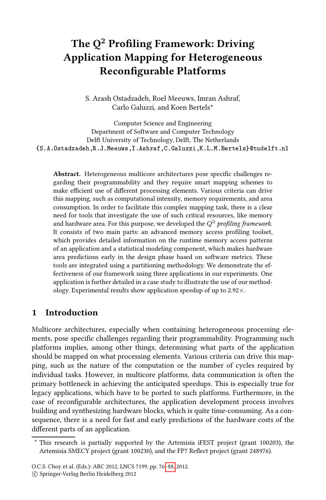# **The Q<sup>2</sup> Profiling Framework: Driving Application Mapping for Heterogeneous Reconfigurable Platforms**

S. Arash Ostadzadeh, Roel Meeuws, Imran Ashraf, Carlo Galuzzi, and Koen Bertels-

Computer Science and Engineering Department of Software and Computer Technology Delft University of Technology, Delft, The Netherlands - 

 

**Abstract.** Heterogeneous multicore architectures pose specific challenges regarding their programmability and they require smart mapping schemes to make efficient use of different processing elements. Various criteria can drive this mapping, such as computational intensity, memory requirements, and area consumption. In order to facilitate this complex mapping task, there is a clear need for tools that investigate the use of such critical resources, like memory and hardware area. For this purpose, we developed the *Q*<sup>2</sup> *profiling framework*. It consists of two main parts: an advanced memory access profiling toolset, which provides detailed information on the runtime memory access patterns of an application and a statistical modeling component, which makes hardware area predictions early in the design phase based on software metrics. These tools are integrated using a partitioning methodology. We demonstrate the effectiveness of our framework using three applications in our experiments. One application is further detailed in a case study to illustrate the use of our methodology. Experimental results show application speedup of up to 2.92*×*.

### **1 Introduction**

Multicore architectures, especially when containing heterogeneous processing elements, pose specific challenges regarding their programmability. Programming such platforms implies, among other things, determining what parts of the application should be mapped on what processing elements. Various criteria can drive this mapping, such as the nature of the computation or the number of cycles required by individual tasks. However, in multicore platforms, data communication is often the primary bottleneck in achieving the anticipated speedups. This is especially true for legacy applications, which have to be ported to such platforms. Furthermore, in the case of reconfigurable [arc](#page-12-0)hitectures, the application development process involves building and synthesizing hardware blocks, which is quite time-consuming. As a consequence, there is a need for fast and early predictions of the hardware costs of the different parts of an application.

 $\star$  This research is partially supported by the Artemisia iFEST project (grant 100203), the Artemisia SMECY project (grant 100230), and the FP7 Reflect project (grant 248976).

O.C.S. Choy et al. (Eds.): ARC 2012, LNCS 7199, pp. 76–88, 2012.

<sup>-</sup>c Springer-Verlag Berlin Heidelberg 2012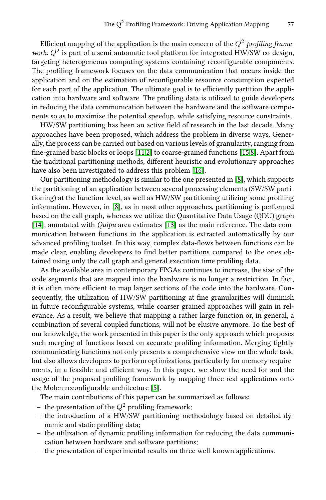Efficient mapping of the application is the main concern of the *Q*<sup>2</sup> *profiling framework*. *Q*<sup>2</sup> is part of a semi-automatic tool platform for integrated HW/SW co-design, targeting heterogeneous computing systems containing reconfigurable components. The profiling framework focuses on the data communication that occurs inside the application a[nd](#page-11-0) [on](#page-11-1) the estimation of reconfigu[rab](#page-12-1)[le](#page-11-2) resource consumption expected for each part of the application. The ultimate goal is to efficiently partition the application into hardware and softw[are.](#page-12-2) The profiling data is utilized to guide developers in reducing the data communication between [th](#page-11-2)e hardware and the software components so as to maximize the potential speedup, while satisfying resource constraints.

HW/SW partitioning has been an active field of research in the last decade. Many appro[ach](#page-11-2)es have been proposed, which address the problem in diverse ways. Generally, the process can be carried out based on various levels of granularity, ranging from fine-grained basic bloc[ks o](#page-12-3)r loops [11,2] to coarse-grained functions [15,8]. Apart from the traditional partitioning methods, different heuristic and evolutionary approaches have also been investigated to address this problem [16].

Our partitioning methodology is similar to the one presented in [8], which supports the partitioning of an application between several processing elements (SW/SW partitioning) at the function-level, as well as HW/SW partitioning utilizing some profiling information. However, in [8], as in most other approaches, partitioning is performed based on the call graph, whereas we utilize the Quantitative Data Usage (QDU) graph [14], annotated with *Quipu* area estimates [13] as the main reference. The data communication between functions in the application is extracted automatically by our advanced profiling toolset. In this way, complex data-flows between functions can be made clear, enabling developers to find better partitions compared to the ones obtained using only the call graph and general execution time profiling data.

As the available area in contemporary FPGAs continues to increase, the size of the code segments that are mapped into the hardware is no longer a restriction. In fact, it is often more efficient to map larger sections of the code into the hardware. Consequently, the utilization of HW/SW partitioning at fine granularities will diminish in future reconfigurable systems, while coarser grained approaches will gain in relevance. As a resul[t, w](#page-11-3)e believe that mapping a rather large function or, in general, a combination of several coupled functions, will not be elusive anymore. To the best of our knowledge, the work presented in this paper is the only approach which proposes such merging of functions based on accurate profiling information. Merging tightly communicating functions not only presents a comprehensive view on the whole task, but also allows developers to perform optimizations, particularly for memory requirements, in a feasible and efficient way. In this paper, we show the need for and the usage of the proposed profiling framework by mapping three real applications onto the Molen reconfigurable architecture [5].

The main contributions of this paper can be summarized as follows:

- the presentation of the  $Q^2$  profiling framework;
- **–** the introduction of a HW/SW partitioning methodology based on detailed dynamic and static profiling data;
- **–** the utilization of dynamic profiling information for reducing the data communication between hardware and software partitions;
- **–** the presentation of experimental results on three well-known applications.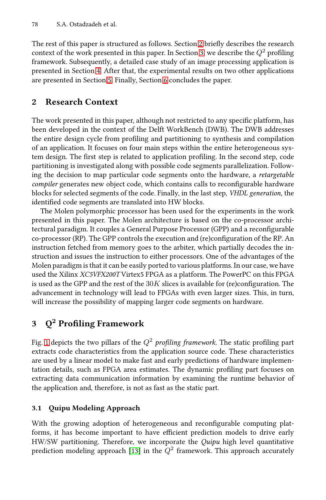The rest of this paper is structured as follows. Section 2 briefly describes the research context of the work presented in this paper. In Section 3, we describe the *Q*<sup>2</sup> profiling framework. Subsequently, a detailed case study of an image processing application is presented in Section 4. After that, the experimental results on two other applications are presented in Section 5. Finally, Section 6 concludes the paper.

## **2 Research Context**

The work presented in this paper, although not restricted to any specific platform, has been developed in the context of the Delft WorkBench (DWB). The DWB addresses the entire design cycle from profiling and partitioning to synthesis and compilation of an application. It focuses on four main steps within the entire heterogeneous system design. The first step is related to application profiling. In the second step, code partitioning is investigated along with possible code segments parallelization. Following the decision to map particular code segments onto the hardware, a *retargetable compiler* generates new object code, which contains calls to reconfigurable hardware blocks for selected segments of the code. Finally, in the last step, *VHDL generation*, the identified code segments are translated into HW blocks.

The Molen polymorphic processor has been used for the experiments in the work presented in this paper. The Molen architecture is based on the co-processor architectural paradigm. It couples a General Purpose Processor (GPP) and a reconfigurable co-processor (RP). The GPP controls the execution and (re)configuration of the RP. An instruction fetched from memory goes to the arbiter, which partially decodes the instruction and issues the instruction to either processors. One of the advantages of the Molen paradigm is that it can be easily ported to various platforms. In our case, we have used the Xilinx *XC5VFX200T* Virtex5 FPGA as a platform. The PowerPC on this FPGA is used as the GPP and the rest of the 30*K* slices is available for (re)configuration. The advancement in technology will lead to FPGAs with even larger sizes. This, in turn, will increase the possibility of mapping larger code segments on hardware.

## **3 Q<sup>2</sup> Profiling Framework**

Fig. 1 depicts the two pillars of the *Q*<sup>2</sup> *profiling framework*. The static profiling part extracts code characteristics from the application source code. These characteristics are used by a linear model to make fast and early predictions of hardware implementation details, such as FPGA area estimates. The dynamic profiling part focuses on extracting [data](#page-12-3) communication information by examining the runtime behavior of the application and, therefore, is not as fast as the static part.

#### **3.1 Quipu Modeling Approach**

With the growing adoption of heterogeneous and reconfigurable computing platforms, it has become important to have efficient prediction models to drive early HW/SW partitioning. Therefore, we incorporate the *Quipu* high level quantitative prediction modeling approach [13] in the *Q*<sup>2</sup> framework. This approach accurately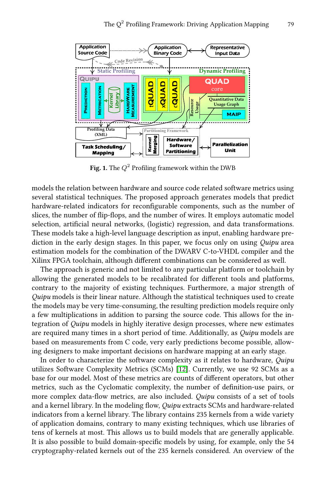

**Fig. 1.** The *Q*<sup>2</sup> Profiling framework within the DWB

models the relation between hardware and source code related software metrics using several statistical techniques. The proposed approach generates models that predict hardware-related indicators for reconfigurable components, such as the number of slices, the number of flip-flops, and the number of wires. It employs automatic model selection, artificial neural networks, (logistic) regression, and data transformations. These models take a high-level language description as input, enabling hardware prediction in the early design stages. In this paper, we focus only on using *Quipu* area estimation models for the combination of the DWARV C-to-VHDL compiler and the Xilinx FPGA toolchain, although different combinations can be considered as well.

The approach is generic and not limited to any particular platform or toolchain by allowing the generated models to be recalibrated for different tools and platforms, contrary to the majority of existing techniques. Furthermore, a major strength of *Quipu* models is their linea[r na](#page-11-4)ture. Although the statistical techniques used to create the models may be very time-consuming, the resulting prediction models require only a few multiplications in addition to parsing the source code. This allows for the integration of *Quipu* models in highly iterative design processes, where new estimates are required many times in a short period of time. Additionally, as *Quipu* models are based on measurements from C code, very early predictions become possible, allowing designers to make important decisions on hardware mapping at an early stage.

In order to characterize the software complexity as it relates to hardware, *Quipu* utilizes Software Complexity Metrics (SCMs) [12]. Currently, we use 92 SCMs as a base for our model. Most of these metrics are counts of different operators, but other metrics, such as the Cyclomatic complexity, the number of definition-use pairs, or more complex data-flow metrics, are also included. *Quipu* consists of a set of tools and a kernel library. In the modeling flow, *Quipu* extracts SCMs and hardware-related indicators from a kernel library. The library contains 235 kernels from a wide variety of application domains, contrary to many existing techniques, which use libraries of tens of kernels at most. This allows us to build models that are generally applicable. It is also possible to build domain-specific models by using, for example, only the 54 cryptography-related kernels out of the 235 kernels considered. An overview of the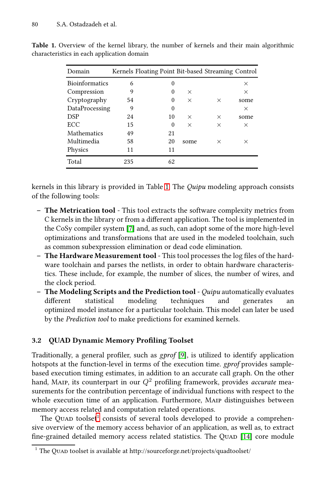| Domain                |     | Kernels Floating Point Bit-based Streaming Control |          |          |          |
|-----------------------|-----|----------------------------------------------------|----------|----------|----------|
| <b>Bioinformatics</b> | 6   | $\theta$                                           |          |          | ×        |
| Compression           | 9   | $\theta$                                           | $\times$ |          | $\times$ |
| Cryptography          | 54  | $\theta$                                           | $\times$ | $\times$ | some     |
| DataProcessing        | 9   | $\theta$                                           |          |          | X        |
| <b>DSP</b>            | 24  | 10                                                 | $\times$ | $\times$ | some     |
| ECC                   | 15  | $\Omega$                                           | $\times$ | $\times$ | ×        |
| Mathematics           | 49  | 21                                                 |          |          |          |
| Multimedia            | 58  | 20                                                 | some     | ×        | $\times$ |
| Physics               | 11  | 11                                                 |          |          |          |
| Total                 | 235 | 62                                                 |          |          |          |

<span id="page-4-0"></span>**Table 1.** Overview of the kernel library, the number of kernels and their main algorithmic characteristics in each application domain

kernels in this library is provided in Table 1. The *Quipu* modeling approach consists of the following tools:

- **The Metrication tool** This tool extracts the software complexity metrics from C kernels in the library or from a different application. The tool is implemented in the CoSy compiler system [7] and, as such, can adopt some of the more high-level optimizations and transformations that are used in the modeled toolchain, such as common subexpression elimination or dead code elimination.
- **The Hardware Measurement tool** This tool processes the log files of the hardware toolchain and parses the netlists, in order to obtain hardware characteristics. These include, for example, the number of slices, the number of wires, and the clock period.
- **The Modeling Scripts [an](#page-11-6)d the Prediction tool** *Quipu* automatically evaluates different statistical modeling techniques and generates an optimized model instance for a particular toolchain. This model can later be used by the *Prediction tool* to make predictions for examined kernels.

#### <span id="page-4-1"></span>**[3.](#page-4-1)2 QUAD Dynamic Memory Profiling Toolset**

Traditionally, a general profiler, such as *gprof* [9], is utilized to identify application hotspots at the function-level in terms of the e[xecu](#page-12-4)tion time. *gprof* provides samplebased execution timing estimates, in addition to an accurate call graph. On the other hand, Maip, its counterpart in our *Q*<sup>2</sup> profiling framework, provides *accurate* measurements for the contribution percentage of individual functions with respect to the whole execution time of an application. Furthermore, MAIP distinguishes between memory access related and computation related operations.

The Quap toolset<sup>1</sup> consists of several tools developed to provide a comprehensive overview of the memory access behavior of an application, as well as, to extract fine-grained detailed memory access related statistics. The OUAD [14] core module

<sup>&</sup>lt;sup>1</sup> The Quan toolset is available at http://sourceforge.net/projects/quadtoolset/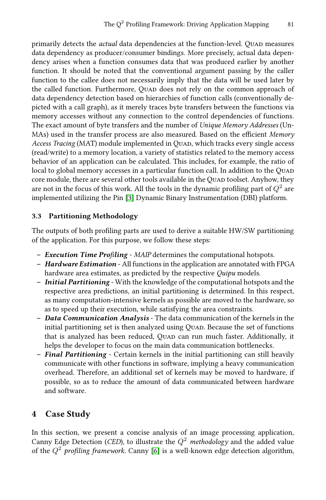primarily detects the *actual* data dependencies at the function-level. QuAD measures data dependency as producer/consumer bindings. More precisely, actual data dependency arises when a function consumes data that was produced earlier by another function. It should be noted that the conventional argument passing by the caller function to the callee does not necessarily imply that the data will be used later by the called function. Furthermore, Quad does not rely on the common approach of data dependency detection based on hierarchies of function calls (conventionally depicted with a call graph), as it merely traces byte transfers between the functions via memory accesses without any connection to the control dependencies of functions. The exact [am](#page-11-7)ount of byte transfers and the number of *Unique Memory Addresses* (Un-MAs) used in the transfer process are also measured. Based on the efficient *Memory Access Tracing* (MAT) module implemented in OUAD, which tracks every single access (read/write) to a memory location, a variety of statistics related to the memory access behavior of an application can be calculated. This includes, for example, the ratio of local to global memory accesses in a particular function call. In addition to the OUAD core module, there are several other tools available in the QUAD toolset. Anyhow, they are not in the focus of this work. All the tools in the dynamic profiling part of  $Q^2$  are implemented utilizing the Pin [3] Dynamic Binary Instrumentation (DBI) platform.

### **3.3 Partitioning Methodology**

The outputs of both profiling parts are used to derive a suitable HW/SW partitioning of the application. For this purpose, we follow these steps:

- **–** *Execution Time Profiling MAIP* determines the computational hotspots.
- <span id="page-5-0"></span>**–** *Hardware Estimation* - All functions in the application are annotated with FPGA hardware area estimates, as predicted by the respective *Quipu* models.
- **–** *Initial Partitioning* With the knowledge of the computational hotspots and the respective area predictions, an initial partitioning is determined. In this respect, as many computation-intensive kernels as possible are moved to the hardware, so as to speed up their execution, while satisfying the area constraints.
- **–** *Data Communication Analysis* The data communication of the kernels in the initial partitioning set is then analyzed using QUAD. Because the set of functions that is analyzed has been reduced, OUAD can run much faster. Additionally, it helps the developer to focus on the main data communication bottlenecks.
- **–** *Final Partitioning* Certain kernels in the initial partitioning can still heavily communicate with other functions in software, implying a heavy communication overhead. Therefore, an additional set of kernels may be moved to hardware, if possible, so as [to](#page-11-8) reduce the amount of data communicated between hardware and software.

## **4 Case Study**

In this section, we present a concise analysis of an image processing application, Canny Edge Detection (*CED*), to illustrate the *Q*<sup>2</sup> *methodology* and the added value of the *Q*<sup>2</sup> *profiling framework*. Canny [6] is a well-known edge detection algorithm,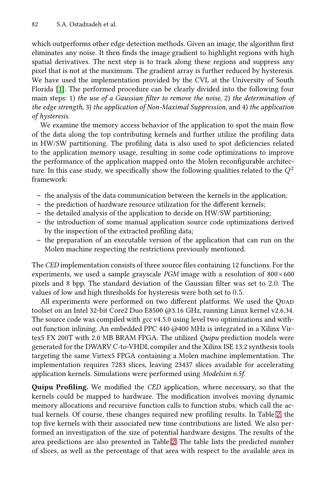which outperforms other edge detection methods. Given an image, the algorithm first eliminates any noise. It then finds the image gradient to highlight regions with high spatial derivatives. The next step is to track along these regions and suppress any pixel that is not at the maximum. The gradient array is further reduced by hysteresis. We have used the implementation provided by the CVL at the University of South Florida [1]. The performed procedure can be clearly divided into the following four main steps: 1) *the use of a Gaussian filter to remove the noise*, 2) *the determination of the edge strength*, 3) *the application of Non-Maximal Suppression*, and 4) *the application of hysteresis*.

We examine the memory access behavior of the application to spot the main flow of the data along the top contributing kernels and further utilize the profiling data in HW/SW partitioning. The profiling data is also used to spot deficiencies related to the application memory usage, resulting in some code optimizations to improve the performance of the application mapped onto the Molen reconfigurable architecture. In this case study, we specifically show the following qualities related to the  $Q^2$ framework:

- **–** the analysis of the data communication between the kernels in the application;
- **–** the prediction of hardware resource utilization for the different kernels;
- **–** the detailed analysis of the application to decide on HW/SW partitioning;
- **–** the introduction of some manual application source code optimizations derived by the inspection of the extracted profiling data;
- **–** the preparation of an executable version of the application that can run on the Molen machine respecting the restrictions previously mentioned.

The *CED* implementation consists of three source files containing 12 functions. For the experiments, we used a sample grayscale *PGM* image with a resolution of 800*×*600 pixels and 8 bpp. The standard deviation of the Gaussian filter was set to 2*.*0. The values of low and high thresholds for hysteresis were both set to 0*.*5.

All experiments were performed on two different platforms. We used the QUAD toolset on an Intel 32-bit Core2 Duo E8500 @3.16 GHz, running Linux kernel v2.6.34. The source code was compiled with *gcc* v4.5.0 using level two optimizations and without function inlining. An embedded PPC 440 @400 MHz is integrated in a Xilinx Virtex5 FX 200T with 2.0 MB BRAM FPGA. The utilized *Quipu* prediction models were generated for the DWARV C-to-VHDL compiler and the Xil[in](#page-7-0)x ISE 13.2 synthesis tools targeting the same Virtex5 FPGA containing a Molen machine implementation. The implementation requires 7283 slices, leaving 23437 slices available for accelerating application kernels. Sim[ula](#page-7-0)tions were performed using *Modelsim 6.5f*.

**Quipu Profiling.** We modified the *CED* application, where necessary, so that the kernels could be mapped to hardware. The modification involves moving dynamic memory allocations and recursive function calls to function stubs, which call the actual kernels. Of course, these changes required new profiling results. In Table 2, the top five kernels with their associated new time contributions are listed. We also performed an investigation of the size of potential hardware designs. The results of the area predictions are also presented in Table 2. The table lists the predicted number of slices, as well as the percentage of that area with respect to the available area in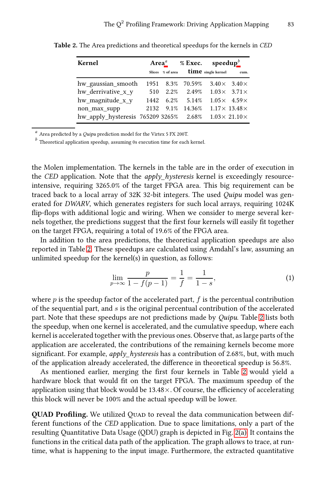| Kernel                                 |      | Area <sup>a</sup> |                  | % Exec. $speedupb$                         |                            |
|----------------------------------------|------|-------------------|------------------|--------------------------------------------|----------------------------|
|                                        |      |                   |                  | Slices % of area <b>time</b> single kernel | cum.                       |
| hw gaussian smooth                     |      |                   | 1951 8.3% 70.59% |                                            | $3.40\times 3.40\times$    |
| hw derrivative x y                     | 510  |                   | $2.2\%$ 2.49%    |                                            | $1.03\times$ 3.71 $\times$ |
| hw magnitude x y                       |      | 1442 6.2%         | 5.14%            |                                            | $1.05\times 4.59\times$    |
| non max supp                           | 2132 | 9.1%              | 14.36%           |                                            | $1.17\times 13.48\times$   |
| hw_apply_hysteresis 765209 3265% 2.68% |      |                   |                  |                                            | $1.03\times 21.10\times$   |

<span id="page-7-0"></span>**Table 2.** The Area predictions and theoretical speedups for the kernels in *CED*

 $^{\emph{a}}$  Area predicted by a  $\emph{Quipu}$  prediction model for the Virtex 5 FX 200T.

 $\sp{b}$  Theoretical application speedup, assuming 0s execution time for each kernel.

the Molen implementation. The kernels in the table are in the order of execution in the *CED* application. Note that the *apply\_hysteresis* kernel is exceedingly resourceintensive, requiring 3265.0% of the target FPGA area. This big requirement can be traced back to a local array of 32K 32-bit integers. The used *Quipu* model was generated for *DWARV*, which generates registers for such local arrays, requiring 1024K flip-flops with additional logic and wiring. When we consider to merge several kernels together, the predictions suggest that the first four kernels will easily fit together on the target FPGA, requiring a total of 19.6% of the FPGA area.

In addition to the area predictions, the theoretical application speedups are also reported in Table 2. These speedups are calculated u[sin](#page-7-0)g Amdahl's law, assuming an unlimited speedup for the kernel(s) in question, as follows:

$$
\lim_{p \to \infty} \frac{p}{1 - f(p - 1)} = \frac{1}{f} = \frac{1}{1 - s},\tag{1}
$$

where *p* is the speedup factor of the accelerated [p](#page-7-0)art, *f* is the percentual contribution of the sequential part, and *s* is the original percentual contribution of the accelerated part. Note that these speedups are not predictions made by *Quipu*. Table 2 lists both the speedup, when one kernel is accelerated, and the cumulative speedup, where each kernel is accelerated together with the previous ones. Observe that, as large parts of the application are accelerated, the contributions of the remaining kernels become more significant. For example, *apply\_hysteresis* has a contribution of 2.68%, but, with much of the application already accelerated, the di[fferen](#page-9-0)ce in theoretical speedup is 56.8%.

As mentioned earlier, merging the first four kernels in Table 2 would yield a hardware block that would fit on the target FPGA. The maximum speedup of the application using that block would be 13.48*×*. Of course, the efficiency of accelerating this block will never be 100% and the actual speedup will be lower.

**QUAD Profiling.** We utilized QUAD to reveal the data communication between different functions of the *CED* application. Due to space limitations, only a part of the resulting Quantitative Data Usage (QDU) graph is depicted in Fig. 2(a). It contains the functions in the critical data path of the application. The graph allows to trace, at runtime, what is happening to the input image. Furthermore, the extracted quantitative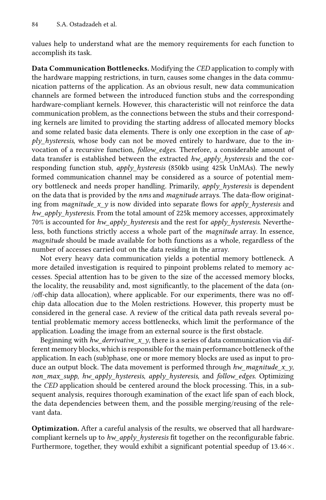values help to understand what are the memory requirements for each function to accomplish its task.

**Data Communication Bottlenecks.** Modifying the *CED* application to comply with the hardware mapping restrictions, in turn, causes some changes in the data communication patterns of the application. As an obvious result, new data communication channels are formed between the introduced function stubs and the corresponding hardware-compliant kernels. However, this characteristic will not reinforce the data communication problem, as the connections between the stubs and their corresponding kernels are limited to providing the starting address of allocated memory blocks and some related basic data elements. There is only one exception in the case of *apply\_hysteresis*, whose body can not be moved entirely to hardware, due to the invocation of a recursive function, *follow\_edges*. Therefore, a considerable amount of data transfer is established between the extracted *hw\_apply\_hysteresis* and the corresponding function stub, *apply\_hysteresis* (850kb using 425k UnMAs). The newly formed communication channel may be considered as a source of potential memory bottleneck and needs proper handling. Primarily, *apply\_hysteresis* is dependent on the data that is provided by the *nms* and *magnitude* arrays. The data-flow originating from *magnitude\_x\_y* is now divided into separate flows for *apply\_hysteresis* and *hw\_apply\_hysteresis*. From the total amount of 225k memory accesses, approximately 70% is accounted for *hw\_apply\_hysteresis* and the rest for *apply\_hysteresis*. Nevertheless, both functions strictly access a whole part of the *magnitude* array. In essence, *magnitude* should be made available for both functions as a whole, regardless of the number of accesses carried out on the data residing in the array.

Not every heavy data communication yields a potential memory bottleneck. A more detailed investigation is required to pinpoint problems related to memory accesses. Special attention has to be given to the size of the accessed memory blocks, the locality, the reusability and, most significantly, to the placement of the data (on- /off-chip data allocation), where applicable. For our experiments, there was no offchip data allocation due to the Molen restrictions. However, this property must be considered in the general case. A review of the critical data path reveals several potential problematic memory access bottlenecks, which limit the performance of the application. Loading the image from an external source is the first obstacle.

Beginning with *hw\_derrivative\_x\_y*, there is a series of data communication via different memory blocks, which is responsible for the main performance bottleneck of the application. In each (sub)phase, one or more memory blocks are used as input to produce an output block. The data movement is performed through *hw\_magnitude\_x\_y*, *non\_max\_supp*, *hw\_apply\_hysteresis*, *apply\_hysteresis*, and *follow\_edges*. Optimizing the *CED* application should be centered around the block processing. This, in a subsequent analysis, requires thorough examination of the exact life span of each block, the data dependencies between them, and the possible merging/reusing of the relevant data.

**Optimization.** After a careful analysis of the results, we observed that all hardwarecompliant kernels up to *hw\_apply\_hysteresis* fit together on the reconfigurable fabric. Furthermore, together, they would exhibit a significant potential speedup of 13.46*×*.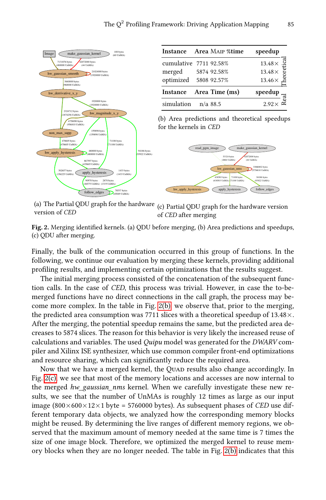<span id="page-9-1"></span><span id="page-9-0"></span>

(a) The Partial QDU graph for the hardware (c) Partial QDU graph for the hardware version version of *CED* of *CED* after merging

**Fig. 2.** Merging identified kernels. (a) QDU before merging, (b) Area predictions and speedups, (c) QDU after merging[.](#page-9-1)

Finally, the bulk of the communication occurred in this group of functions. In the following, we continue our evaluation by merging these kernels, providing additional profiling results, and implementing certain optimizations that the results suggest.

The initial merging process consisted of the concatenation of the subsequent function calls. In the case of *CED*, this process was trivial. However, in case the to-bemerged functions have no direct connections in the call graph, the process may become more complex. In the table in Fig. 2(b), we observe that, prior to the merging, the predicted area consumption was 7711 slices with a theoretical speedup of 13.48*×*. After the merging, the potential speedup remains the same, but the predicted area decreases to 5874 slices. The reason for this behavior is very likely the increased reuse of calculations and variables. The used *Quipu* model was generated for the *DWARV* compiler and Xilinx ISE synthesizer, which use common compiler front-end optimizations and resource sharing, which can significantly reduce the required area.

Now that we have a merged kernel, the QUAD results also change accordingly. In Fig. 2(c), we see that most of the memory [loca](#page-9-1)tions and accesses are now internal to the merged *hw\_gaussian\_nms* kernel. When we carefully investigate these new results, we see that the number of UnMAs is roughly 12 times as large as our input image  $(800\times600\times12\times1$  byte = 5760000 bytes). As subsequent phases of *CED* use different temporary data objects, we analyzed how the corresponding memory blocks might be reused. By determining the live ranges of different memory regions, we observed that the maximum amount of memory needed at the same time is 7 times the size of one image block. Therefore, we optimized the merged kernel to reuse memory blocks when they are no longer needed. The table in Fig. 2(b) indicates that this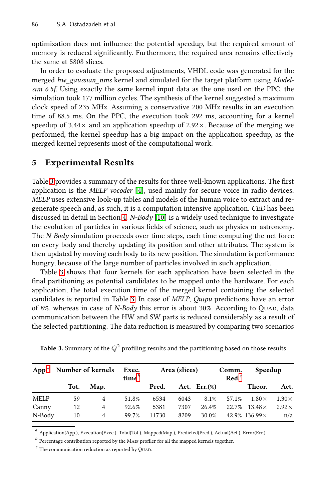optimization does not influence the potential speedup, but the required amount of memory is reduced significantly. Furthermore, the required area remains effectively the same at 5808 slices.

In order to evaluate the proposed adjustments, VHDL code was generated for the merged *hw\_gaussian\_nms* kernel and simulated for the target platform using *Modelsim 6.5f*. Using exactly the same kernel input data as the one used on the PPC, the simulation took 177 million cycles. The synthesis of the kernel suggested a maximum clock speed of 235 MHz. Assuming a conservative 200 MHz results in an execution time of 88.5 [ms](#page-11-9). On the PPC, the execution took 292 ms, accounting for a kernel speedup of 3.44*×* and an application speedup of 2.92*×*. Because of the merging we performed, the kernel speedup has a big impact on the application speedup, as the merged [ker](#page-5-0)nel repr[esen](#page-11-10)ts most of the computational work.

### **5 Experimental Results**

<span id="page-10-0"></span>Table 3 provides a summary of the results for three well-known applications. The first application is the *MELP vocoder* [4], used mainly for secure voice in radio devices. *MELP* uses extensive look-up tables and models of the human voice to extract and regenerate speech and, as such, it is a computation intensive application. *CED* has been discussed in detail in Section 4. *N-Body* [10] is a widely used technique to investigate the evoluti[on](#page-10-0) of particles in various fields of science, such as physics or astronomy. The *N-Body* simulation proceeds over time steps, each time computing the net force on every body and thereby updating its position and other attributes. The system is then updated by moving each body to its new position. The simulation is performance hungry, because of the large number of particles involved in such application.

Table 3 shows that four kernels for each application have been selected in the final partitioning as potential candidates to be mapped onto the hardware. For each application, the total execution time of the merged kernel containing the selected candidates is reported in Table 3. In case of *MELP*, *Quipu* predictions have an error of 8%, whereas in case of *N-Body* this error is about 30%. According to OUAD, data communication between the HW and SW parts is reduced considerably as a result of the selected partitioning. The data reduction is measured by comparing two scenarios

| $\bf{App.}^{\alpha}$ | Number of kernels |                | Exec.<br>time $^b$ | Area (slices) |      | Comm.<br>$\mathbf{Red}.^c$ |       | Speedup               |              |
|----------------------|-------------------|----------------|--------------------|---------------|------|----------------------------|-------|-----------------------|--------------|
|                      | Tot.              | Map.           |                    | Pred.         |      | Act. $Err(x)$              |       | Theor.                | Act.         |
| MELP                 | 59                | $\overline{4}$ | 51.8%              | 6534          | 6043 | 8.1%                       | 57.1% | $1.80\times$          | $1.30\times$ |
| Canny                | 12                | $\overline{4}$ | 92.6%              | 5381          | 7307 | 26.4%                      | 22.7% | $13.48\times$         | $2.92\times$ |
| N-Body               | 10                | 4              | 99.7%              | 11730         | 8209 | 30.0%                      |       | 42.9% 136.99 $\times$ | n/a          |

**Table 3.** Summary of the  $Q^2$  profiling results and the partitioning based on those results

*<sup>a</sup>* Application(App.), Execution(Exec.), Total(Tot.), Mapped(Map.), Predicted(Pred.), Actual(Act.), Error(Err.)

*b* Percentage contribution reported by the MAIP profiler for all the mapped kernels together.

 $c$  The communication reduction as reported by QUAD.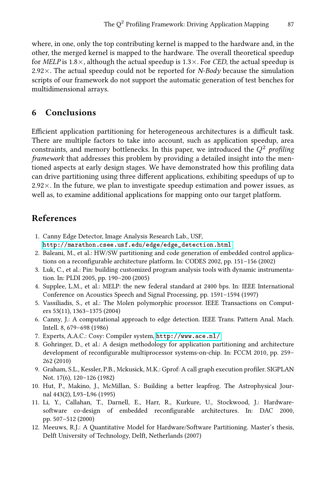where, in one, only the top contributing kernel is mapped to the hardware and, in the other, the merged kernel is mapped to the hardware. The overall theoretical speedup for *MELP* is 1.8*×*, although the actual speedup is 1.3*×*. For *CED*, the actual speedup is 2.92*×*. The actual speedup could not be reported for *N-Body* because the simulation scripts of our framework do not support the automatic generation of test benches for multidimensional arrays.

### <span id="page-11-1"></span>**6 Conclusions**

<span id="page-11-9"></span><span id="page-11-8"></span><span id="page-11-7"></span><span id="page-11-3"></span>Efficient application partitioning for heterogeneous architectures is a difficult task. There are multiple factors to take into account, such as application speedup, area constraints, and memory bottlenecks. In this paper, we introduced the *Q*<sup>2</sup> *profiling framework* that addresses this problem by providing a detailed insight into the mentioned aspects at early design stages. We have demonstrated how this profiling data [can drive partitioning using three different ap](http://marathon.csee.usf.edu/edge/edge_detection.html)plications, exhibiting speedups of up to 2.92*×*. In the future, we plan to investigate speedup estimation and power issues, as well as, to examine additional applications for mapping onto our target platform.

## <span id="page-11-6"></span><span id="page-11-5"></span><span id="page-11-2"></span>**References**

- <span id="page-11-10"></span>1. Canny Edge Detector, Image Analysis Research Lab., USF,
- http://marathon.csee.usf.edu/edge/edge\_detection.html
- <span id="page-11-0"></span>2. Baleani, M., et al.: HW/SW partitioning and code generation of embedded control applications on a reconfigurable architecture platform. In: CODES 2002, pp. 151–156 (2002)
- 3. Luk, C., et al.: Pin[:](http://www.ace.nl/) [building](http://www.ace.nl/) [customized](http://www.ace.nl/) [pr](http://www.ace.nl/)ogram analysis tools with dynamic instrumentation. In: PLDI 2005, pp. 190–200 (2005)
- <span id="page-11-4"></span>4. Supplee, L.M., et al.: MELP: the new federal standard at 2400 bps. In: IEEE International Conference on Acoustics Speech and Signal Processing, pp. 1591–1594 (1997)
- 5. Vassiliadis, S., et al.: The Molen polymorphic processor. IEEE Transactions on Computers 53(11), 1363–1375 (2004)
- 6. Canny, J.: A computational approach to edge detection. IEEE Trans. Pattern Anal. Mach. Intell. 8, 679–698 (1986)
- 7. Experts, A.A.C.: Cosy: Compiler system, http://www.ace.nl/
- 8. Gohringer, D., et al.: A design methodology for application partitioning and architecture development of reconfigurable multiprocessor systems-on-chip. In: FCCM 2010, pp. 259– 262 (2010)
- 9. Graham, S.L., Kessler, P.B., Mckusick, M.K.: Gprof: A call graph execution profiler. SIGPLAN Not. 17(6), 120–126 (1982)
- 10. Hut, P., Makino, J., McMillan, S.: Building a better leapfrog. The Astrophysical Journal 443(2), L93–L96 (1995)
- 11. Li, Y., Callahan, T., Darnell, E., Harr, R., Kurkure, U., Stockwood, J.: Hardwaresoftware co-design of embedded reconfigurable architectures. In: DAC 2000, pp. 507–512 (2000)
- 12. Meeuws, R.J.: A Quantitative Model for Hardware/Software Partitioning. Master's thesis, Delft University of Technology, Delft, Netherlands (2007)